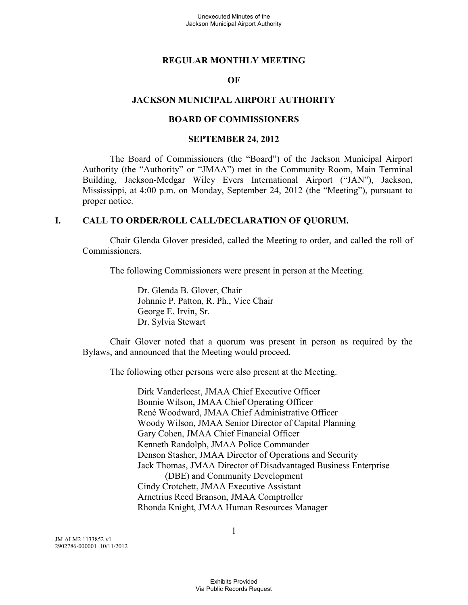#### **REGULAR MONTHLY MEETING**

#### **OF**

#### **JACKSON MUNICIPAL AIRPORT AUTHORITY**

#### **BOARD OF COMMISSIONERS**

#### **SEPTEMBER 24, 2012**

The Board of Commissioners (the "Board") of the Jackson Municipal Airport Authority (the "Authority" or "JMAA") met in the Community Room, Main Terminal Building, Jackson-Medgar Wiley Evers International Airport ("JAN"), Jackson, Mississippi, at 4:00 p.m. on Monday, September 24, 2012 (the "Meeting"), pursuant to proper notice.

#### **I. CALL TO ORDER/ROLL CALL/DECLARATION OF QUORUM.**

Chair Glenda Glover presided, called the Meeting to order, and called the roll of Commissioners.

The following Commissioners were present in person at the Meeting.

Dr. Glenda B. Glover, Chair Johnnie P. Patton, R. Ph., Vice Chair George E. Irvin, Sr. Dr. Sylvia Stewart

Chair Glover noted that a quorum was present in person as required by the Bylaws, and announced that the Meeting would proceed.

The following other persons were also present at the Meeting.

Dirk Vanderleest, JMAA Chief Executive Officer Bonnie Wilson, JMAA Chief Operating Officer René Woodward, JMAA Chief Administrative Officer Woody Wilson, JMAA Senior Director of Capital Planning Gary Cohen, JMAA Chief Financial Officer Kenneth Randolph, JMAA Police Commander Denson Stasher, JMAA Director of Operations and Security Jack Thomas, JMAA Director of Disadvantaged Business Enterprise (DBE) and Community Development Cindy Crotchett, JMAA Executive Assistant Arnetrius Reed Branson, JMAA Comptroller Rhonda Knight, JMAA Human Resources Manager

JM ALM2 1133852 v1 2902786-000001 10/11/2012 1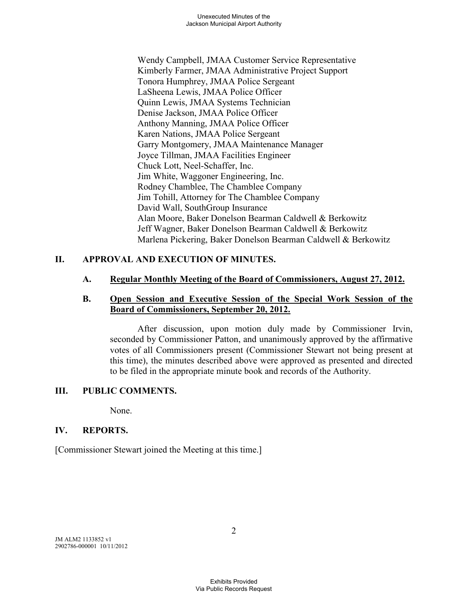Wendy Campbell, JMAA Customer Service Representative Kimberly Farmer, JMAA Administrative Project Support Tonora Humphrey, JMAA Police Sergeant LaSheena Lewis, JMAA Police Officer Quinn Lewis, JMAA Systems Technician Denise Jackson, JMAA Police Officer Anthony Manning, JMAA Police Officer Karen Nations, JMAA Police Sergeant Garry Montgomery, JMAA Maintenance Manager Joyce Tillman, JMAA Facilities Engineer Chuck Lott, Neel-Schaffer, Inc. Jim White, Waggoner Engineering, Inc. Rodney Chamblee, The Chamblee Company Jim Tohill, Attorney for The Chamblee Company David Wall, SouthGroup Insurance Alan Moore, Baker Donelson Bearman Caldwell & Berkowitz Jeff Wagner, Baker Donelson Bearman Caldwell & Berkowitz Marlena Pickering, Baker Donelson Bearman Caldwell & Berkowitz

# **II. APPROVAL AND EXECUTION OF MINUTES.**

# **A. Regular Monthly Meeting of the Board of Commissioners, August 27, 2012.**

### **B. Open Session and Executive Session of the Special Work Session of the Board of Commissioners, September 20, 2012.**

After discussion, upon motion duly made by Commissioner Irvin, seconded by Commissioner Patton, and unanimously approved by the affirmative votes of all Commissioners present (Commissioner Stewart not being present at this time), the minutes described above were approved as presented and directed to be filed in the appropriate minute book and records of the Authority.

# **III. PUBLIC COMMENTS.**

None.

# **IV. REPORTS.**

[Commissioner Stewart joined the Meeting at this time.]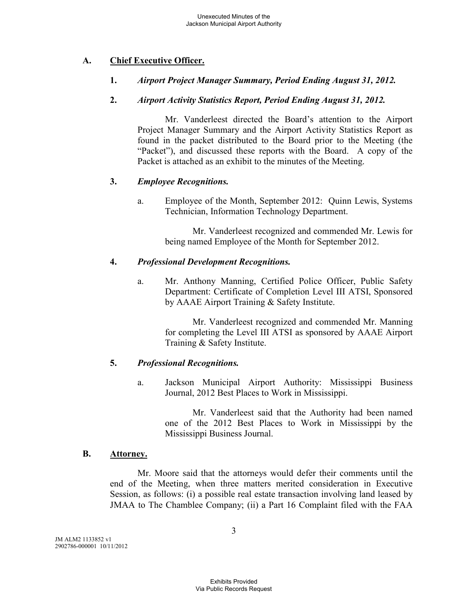# **A. Chief Executive Officer.**

# **1.** *Airport Project Manager Summary, Period Ending August 31, 2012.*

## **2.** *Airport Activity Statistics Report, Period Ending August 31, 2012.*

Mr. Vanderleest directed the Board's attention to the Airport Project Manager Summary and the Airport Activity Statistics Report as found in the packet distributed to the Board prior to the Meeting (the "Packet"), and discussed these reports with the Board. A copy of the Packet is attached as an exhibit to the minutes of the Meeting.

## **3.** *Employee Recognitions.*

a. Employee of the Month, September 2012: Quinn Lewis, Systems Technician, Information Technology Department.

> Mr. Vanderleest recognized and commended Mr. Lewis for being named Employee of the Month for September 2012.

## **4.** *Professional Development Recognitions.*

a. Mr. Anthony Manning, Certified Police Officer, Public Safety Department: Certificate of Completion Level III ATSI, Sponsored by AAAE Airport Training & Safety Institute.

> Mr. Vanderleest recognized and commended Mr. Manning for completing the Level III ATSI as sponsored by AAAE Airport Training & Safety Institute.

# **5.** *Professional Recognitions.*

a. Jackson Municipal Airport Authority: Mississippi Business Journal, 2012 Best Places to Work in Mississippi.

> Mr. Vanderleest said that the Authority had been named one of the 2012 Best Places to Work in Mississippi by the Mississippi Business Journal.

### **B. Attorney.**

Mr. Moore said that the attorneys would defer their comments until the end of the Meeting, when three matters merited consideration in Executive Session, as follows: (i) a possible real estate transaction involving land leased by JMAA to The Chamblee Company; (ii) a Part 16 Complaint filed with the FAA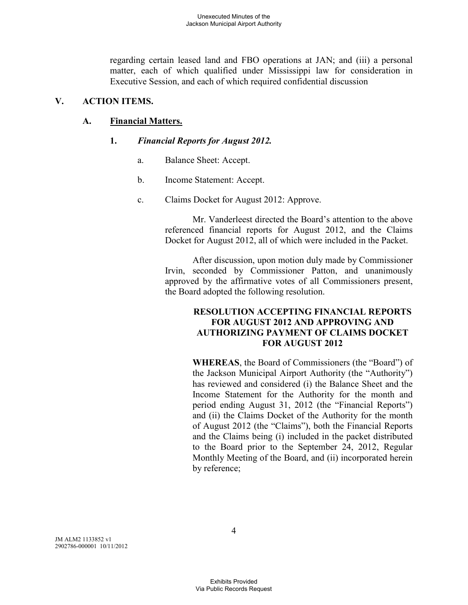regarding certain leased land and FBO operations at JAN; and (iii) a personal matter, each of which qualified under Mississippi law for consideration in Executive Session, and each of which required confidential discussion

## **V. ACTION ITEMS.**

# **A. Financial Matters.**

### **1.** *Financial Reports for August 2012.*

- a. Balance Sheet: Accept.
- b. Income Statement: Accept.
- c. Claims Docket for August 2012: Approve.

Mr. Vanderleest directed the Board's attention to the above referenced financial reports for August 2012, and the Claims Docket for August 2012, all of which were included in the Packet.

After discussion, upon motion duly made by Commissioner Irvin, seconded by Commissioner Patton, and unanimously approved by the affirmative votes of all Commissioners present, the Board adopted the following resolution.

## **RESOLUTION ACCEPTING FINANCIAL REPORTS FOR AUGUST 2012 AND APPROVING AND AUTHORIZING PAYMENT OF CLAIMS DOCKET FOR AUGUST 2012**

**WHEREAS**, the Board of Commissioners (the "Board") of the Jackson Municipal Airport Authority (the "Authority") has reviewed and considered (i) the Balance Sheet and the Income Statement for the Authority for the month and period ending August 31, 2012 (the "Financial Reports") and (ii) the Claims Docket of the Authority for the month of August 2012 (the "Claims"), both the Financial Reports and the Claims being (i) included in the packet distributed to the Board prior to the September 24, 2012, Regular Monthly Meeting of the Board, and (ii) incorporated herein by reference;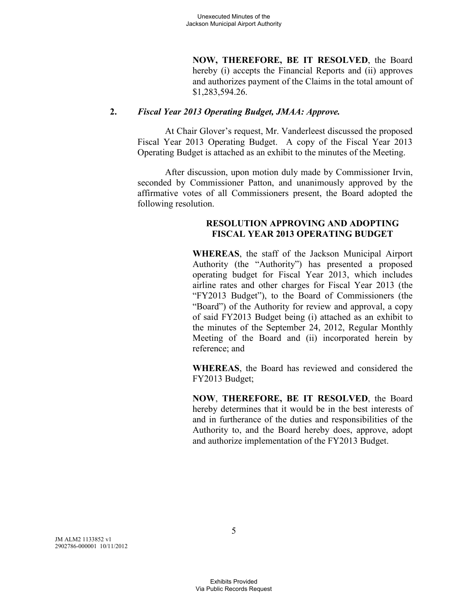**NOW, THEREFORE, BE IT RESOLVED**, the Board hereby (i) accepts the Financial Reports and (ii) approves and authorizes payment of the Claims in the total amount of \$1,283,594.26.

#### **2.** *Fiscal Year 2013 Operating Budget, JMAA: Approve.*

At Chair Glover's request, Mr. Vanderleest discussed the proposed Fiscal Year 2013 Operating Budget. A copy of the Fiscal Year 2013 Operating Budget is attached as an exhibit to the minutes of the Meeting.

After discussion, upon motion duly made by Commissioner Irvin, seconded by Commissioner Patton, and unanimously approved by the affirmative votes of all Commissioners present, the Board adopted the following resolution.

### **RESOLUTION APPROVING AND ADOPTING FISCAL YEAR 2013 OPERATING BUDGET**

**WHEREAS**, the staff of the Jackson Municipal Airport Authority (the "Authority") has presented a proposed operating budget for Fiscal Year 2013, which includes airline rates and other charges for Fiscal Year 2013 (the "FY2013 Budget"), to the Board of Commissioners (the "Board") of the Authority for review and approval, a copy of said FY2013 Budget being (i) attached as an exhibit to the minutes of the September 24, 2012, Regular Monthly Meeting of the Board and (ii) incorporated herein by reference; and

**WHEREAS**, the Board has reviewed and considered the FY2013 Budget;

**NOW**, **THEREFORE, BE IT RESOLVED**, the Board hereby determines that it would be in the best interests of and in furtherance of the duties and responsibilities of the Authority to, and the Board hereby does, approve, adopt and authorize implementation of the FY2013 Budget.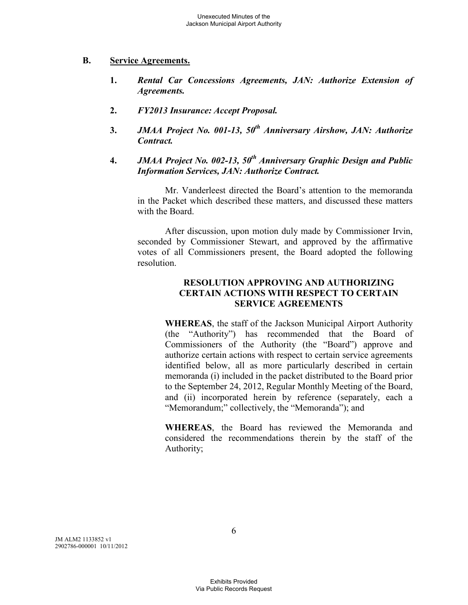## **B. Service Agreements.**

- **1.** *Rental Car Concessions Agreements, JAN: Authorize Extension of Agreements.*
- **2.** *FY2013 Insurance: Accept Proposal.*
- **3.** *JMAA Project No. 001-13, 50th Anniversary Airshow, JAN: Authorize Contract.*
- **4.** *JMAA Project No. 002-13, 50th Anniversary Graphic Design and Public Information Services, JAN: Authorize Contract.*

Mr. Vanderleest directed the Board's attention to the memoranda in the Packet which described these matters, and discussed these matters with the Board.

After discussion, upon motion duly made by Commissioner Irvin, seconded by Commissioner Stewart, and approved by the affirmative votes of all Commissioners present, the Board adopted the following resolution.

# **RESOLUTION APPROVING AND AUTHORIZING CERTAIN ACTIONS WITH RESPECT TO CERTAIN SERVICE AGREEMENTS**

**WHEREAS**, the staff of the Jackson Municipal Airport Authority (the "Authority") has recommended that the Board of Commissioners of the Authority (the "Board") approve and authorize certain actions with respect to certain service agreements identified below, all as more particularly described in certain memoranda (i) included in the packet distributed to the Board prior to the September 24, 2012, Regular Monthly Meeting of the Board, and (ii) incorporated herein by reference (separately, each a "Memorandum;" collectively, the "Memoranda"); and

**WHEREAS**, the Board has reviewed the Memoranda and considered the recommendations therein by the staff of the Authority;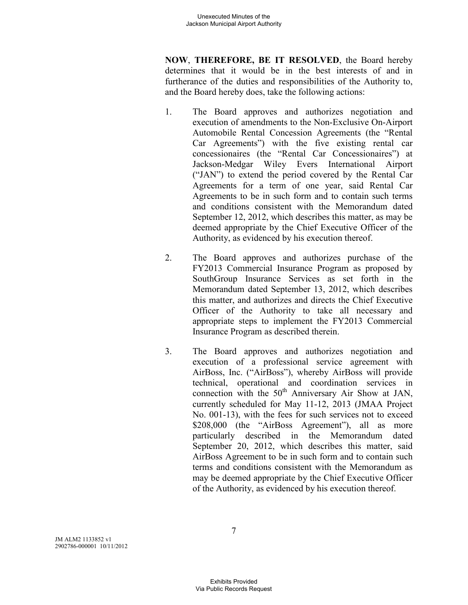**NOW**, **THEREFORE, BE IT RESOLVED**, the Board hereby determines that it would be in the best interests of and in furtherance of the duties and responsibilities of the Authority to, and the Board hereby does, take the following actions:

- 1. The Board approves and authorizes negotiation and execution of amendments to the Non-Exclusive On-Airport Automobile Rental Concession Agreements (the "Rental Car Agreements") with the five existing rental car concessionaires (the "Rental Car Concessionaires") at Jackson-Medgar Wiley Evers International Airport ("JAN") to extend the period covered by the Rental Car Agreements for a term of one year, said Rental Car Agreements to be in such form and to contain such terms and conditions consistent with the Memorandum dated September 12, 2012, which describes this matter, as may be deemed appropriate by the Chief Executive Officer of the Authority, as evidenced by his execution thereof.
- 2. The Board approves and authorizes purchase of the FY2013 Commercial Insurance Program as proposed by SouthGroup Insurance Services as set forth in the Memorandum dated September 13, 2012, which describes this matter, and authorizes and directs the Chief Executive Officer of the Authority to take all necessary and appropriate steps to implement the FY2013 Commercial Insurance Program as described therein.
- 3. The Board approves and authorizes negotiation and execution of a professional service agreement with AirBoss, Inc. ("AirBoss"), whereby AirBoss will provide technical, operational and coordination services in connection with the  $50<sup>th</sup>$  Anniversary Air Show at JAN, currently scheduled for May 11-12, 2013 (JMAA Project No. 001-13), with the fees for such services not to exceed \$208,000 (the "AirBoss Agreement"), all as more particularly described in the Memorandum dated September 20, 2012, which describes this matter, said AirBoss Agreement to be in such form and to contain such terms and conditions consistent with the Memorandum as may be deemed appropriate by the Chief Executive Officer of the Authority, as evidenced by his execution thereof.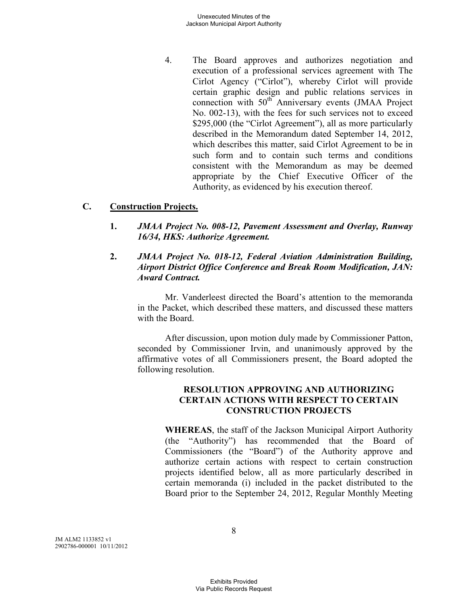4. The Board approves and authorizes negotiation and execution of a professional services agreement with The Cirlot Agency ("Cirlot"), whereby Cirlot will provide certain graphic design and public relations services in connection with 50<sup>th</sup> Anniversary events (JMAA Project No. 002-13), with the fees for such services not to exceed \$295,000 (the "Cirlot Agreement"), all as more particularly described in the Memorandum dated September 14, 2012, which describes this matter, said Cirlot Agreement to be in such form and to contain such terms and conditions consistent with the Memorandum as may be deemed appropriate by the Chief Executive Officer of the Authority, as evidenced by his execution thereof.

## **C. Construction Projects.**

- **1.** *JMAA Project No. 008-12, Pavement Assessment and Overlay, Runway 16/34, HKS: Authorize Agreement.*
- **2.** *JMAA Project No. 018-12, Federal Aviation Administration Building, Airport District Office Conference and Break Room Modification, JAN: Award Contract.*

Mr. Vanderleest directed the Board's attention to the memoranda in the Packet, which described these matters, and discussed these matters with the Board.

After discussion, upon motion duly made by Commissioner Patton, seconded by Commissioner Irvin, and unanimously approved by the affirmative votes of all Commissioners present, the Board adopted the following resolution.

## **RESOLUTION APPROVING AND AUTHORIZING CERTAIN ACTIONS WITH RESPECT TO CERTAIN CONSTRUCTION PROJECTS**

**WHEREAS**, the staff of the Jackson Municipal Airport Authority (the "Authority") has recommended that the Board of Commissioners (the "Board") of the Authority approve and authorize certain actions with respect to certain construction projects identified below, all as more particularly described in certain memoranda (i) included in the packet distributed to the Board prior to the September 24, 2012, Regular Monthly Meeting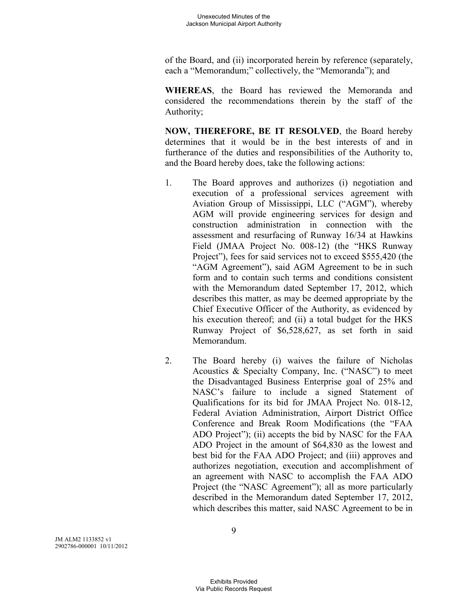of the Board, and (ii) incorporated herein by reference (separately, each a "Memorandum;" collectively, the "Memoranda"); and

**WHEREAS**, the Board has reviewed the Memoranda and considered the recommendations therein by the staff of the Authority;

**NOW, THEREFORE, BE IT RESOLVED**, the Board hereby determines that it would be in the best interests of and in furtherance of the duties and responsibilities of the Authority to, and the Board hereby does, take the following actions:

- 1. The Board approves and authorizes (i) negotiation and execution of a professional services agreement with Aviation Group of Mississippi, LLC ("AGM"), whereby AGM will provide engineering services for design and construction administration in connection with the assessment and resurfacing of Runway 16/34 at Hawkins Field (JMAA Project No. 008-12) (the "HKS Runway Project"), fees for said services not to exceed \$555,420 (the "AGM Agreement"), said AGM Agreement to be in such form and to contain such terms and conditions consistent with the Memorandum dated September 17, 2012, which describes this matter, as may be deemed appropriate by the Chief Executive Officer of the Authority, as evidenced by his execution thereof; and (ii) a total budget for the HKS Runway Project of \$6,528,627, as set forth in said Memorandum.
- 2. The Board hereby (i) waives the failure of Nicholas Acoustics & Specialty Company, Inc. ("NASC") to meet the Disadvantaged Business Enterprise goal of 25% and NASC's failure to include a signed Statement of Qualifications for its bid for JMAA Project No. 018-12, Federal Aviation Administration, Airport District Office Conference and Break Room Modifications (the "FAA ADO Project"); (ii) accepts the bid by NASC for the FAA ADO Project in the amount of \$64,830 as the lowest and best bid for the FAA ADO Project; and (iii) approves and authorizes negotiation, execution and accomplishment of an agreement with NASC to accomplish the FAA ADO Project (the "NASC Agreement"); all as more particularly described in the Memorandum dated September 17, 2012, which describes this matter, said NASC Agreement to be in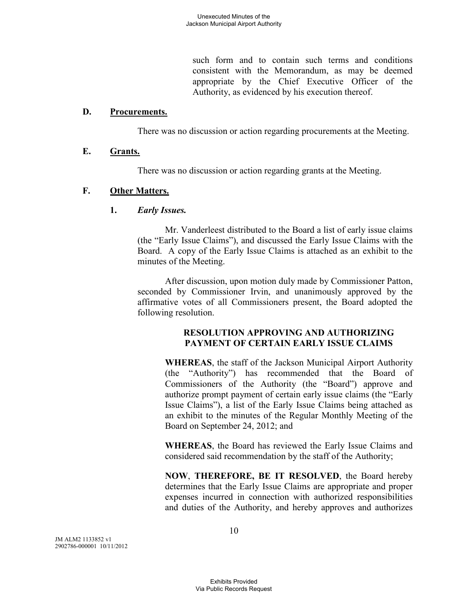such form and to contain such terms and conditions consistent with the Memorandum, as may be deemed appropriate by the Chief Executive Officer of the Authority, as evidenced by his execution thereof.

#### **D. Procurements.**

There was no discussion or action regarding procurements at the Meeting.

## **E. Grants.**

There was no discussion or action regarding grants at the Meeting.

## **F. Other Matters.**

**1.** *Early Issues.* 

Mr. Vanderleest distributed to the Board a list of early issue claims (the "Early Issue Claims"), and discussed the Early Issue Claims with the Board. A copy of the Early Issue Claims is attached as an exhibit to the minutes of the Meeting.

After discussion, upon motion duly made by Commissioner Patton, seconded by Commissioner Irvin, and unanimously approved by the affirmative votes of all Commissioners present, the Board adopted the following resolution.

## **RESOLUTION APPROVING AND AUTHORIZING PAYMENT OF CERTAIN EARLY ISSUE CLAIMS**

**WHEREAS**, the staff of the Jackson Municipal Airport Authority (the "Authority") has recommended that the Board of Commissioners of the Authority (the "Board") approve and authorize prompt payment of certain early issue claims (the "Early Issue Claims"), a list of the Early Issue Claims being attached as an exhibit to the minutes of the Regular Monthly Meeting of the Board on September 24, 2012; and

**WHEREAS**, the Board has reviewed the Early Issue Claims and considered said recommendation by the staff of the Authority;

**NOW**, **THEREFORE, BE IT RESOLVED**, the Board hereby determines that the Early Issue Claims are appropriate and proper expenses incurred in connection with authorized responsibilities and duties of the Authority, and hereby approves and authorizes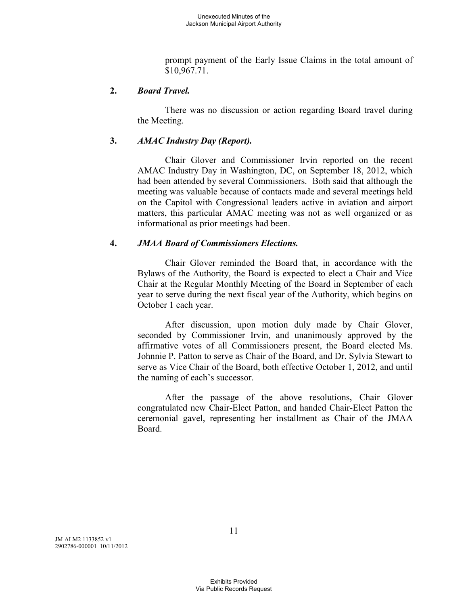prompt payment of the Early Issue Claims in the total amount of \$10,967.71.

## **2.** *Board Travel.*

There was no discussion or action regarding Board travel during the Meeting.

## **3.** *AMAC Industry Day (Report).*

Chair Glover and Commissioner Irvin reported on the recent AMAC Industry Day in Washington, DC, on September 18, 2012, which had been attended by several Commissioners. Both said that although the meeting was valuable because of contacts made and several meetings held on the Capitol with Congressional leaders active in aviation and airport matters, this particular AMAC meeting was not as well organized or as informational as prior meetings had been.

## **4.** *JMAA Board of Commissioners Elections.*

Chair Glover reminded the Board that, in accordance with the Bylaws of the Authority, the Board is expected to elect a Chair and Vice Chair at the Regular Monthly Meeting of the Board in September of each year to serve during the next fiscal year of the Authority, which begins on October 1 each year.

After discussion, upon motion duly made by Chair Glover, seconded by Commissioner Irvin, and unanimously approved by the affirmative votes of all Commissioners present, the Board elected Ms. Johnnie P. Patton to serve as Chair of the Board, and Dr. Sylvia Stewart to serve as Vice Chair of the Board, both effective October 1, 2012, and until the naming of each's successor.

After the passage of the above resolutions, Chair Glover congratulated new Chair-Elect Patton, and handed Chair-Elect Patton the ceremonial gavel, representing her installment as Chair of the JMAA Board.

JM ALM2 1133852 v1 2902786-000001 10/11/2012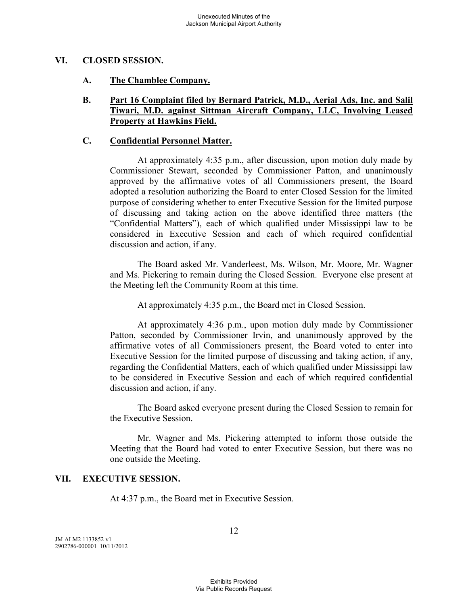#### **VI. CLOSED SESSION.**

#### **A. The Chamblee Company.**

#### **B. Part 16 Complaint filed by Bernard Patrick, M.D., Aerial Ads, Inc. and Salil Tiwari, M.D. against Sittman Aircraft Company, LLC, Involving Leased Property at Hawkins Field.**

#### **C. Confidential Personnel Matter.**

At approximately 4:35 p.m., after discussion, upon motion duly made by Commissioner Stewart, seconded by Commissioner Patton, and unanimously approved by the affirmative votes of all Commissioners present, the Board adopted a resolution authorizing the Board to enter Closed Session for the limited purpose of considering whether to enter Executive Session for the limited purpose of discussing and taking action on the above identified three matters (the "Confidential Matters"), each of which qualified under Mississippi law to be considered in Executive Session and each of which required confidential discussion and action, if any.

The Board asked Mr. Vanderleest, Ms. Wilson, Mr. Moore, Mr. Wagner and Ms. Pickering to remain during the Closed Session. Everyone else present at the Meeting left the Community Room at this time.

At approximately 4:35 p.m., the Board met in Closed Session.

At approximately 4:36 p.m., upon motion duly made by Commissioner Patton, seconded by Commissioner Irvin, and unanimously approved by the affirmative votes of all Commissioners present, the Board voted to enter into Executive Session for the limited purpose of discussing and taking action, if any, regarding the Confidential Matters, each of which qualified under Mississippi law to be considered in Executive Session and each of which required confidential discussion and action, if any.

The Board asked everyone present during the Closed Session to remain for the Executive Session.

Mr. Wagner and Ms. Pickering attempted to inform those outside the Meeting that the Board had voted to enter Executive Session, but there was no one outside the Meeting.

#### **VII. EXECUTIVE SESSION.**

At 4:37 p.m., the Board met in Executive Session.

JM ALM2 1133852 v1 2902786-000001 10/11/2012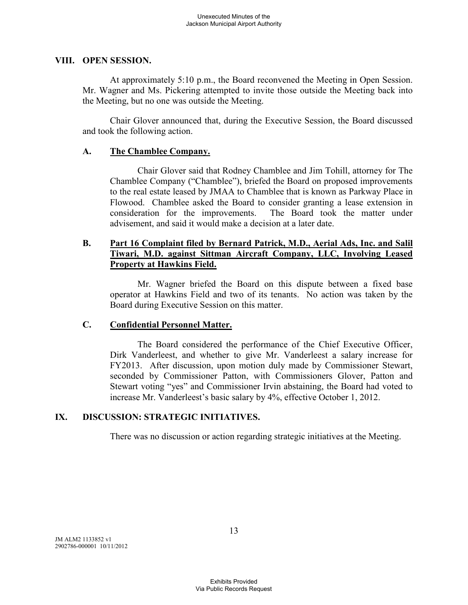#### **VIII. OPEN SESSION.**

At approximately 5:10 p.m., the Board reconvened the Meeting in Open Session. Mr. Wagner and Ms. Pickering attempted to invite those outside the Meeting back into the Meeting, but no one was outside the Meeting.

Chair Glover announced that, during the Executive Session, the Board discussed and took the following action.

## **A. The Chamblee Company.**

Chair Glover said that Rodney Chamblee and Jim Tohill, attorney for The Chamblee Company ("Chamblee"), briefed the Board on proposed improvements to the real estate leased by JMAA to Chamblee that is known as Parkway Place in Flowood. Chamblee asked the Board to consider granting a lease extension in consideration for the improvements. The Board took the matter under advisement, and said it would make a decision at a later date.

# **B. Part 16 Complaint filed by Bernard Patrick, M.D., Aerial Ads, Inc. and Salil Tiwari, M.D. against Sittman Aircraft Company, LLC, Involving Leased Property at Hawkins Field.**

Mr. Wagner briefed the Board on this dispute between a fixed base operator at Hawkins Field and two of its tenants. No action was taken by the Board during Executive Session on this matter.

# **C. Confidential Personnel Matter.**

The Board considered the performance of the Chief Executive Officer, Dirk Vanderleest, and whether to give Mr. Vanderleest a salary increase for FY2013. After discussion, upon motion duly made by Commissioner Stewart, seconded by Commissioner Patton, with Commissioners Glover, Patton and Stewart voting "yes" and Commissioner Irvin abstaining, the Board had voted to increase Mr. Vanderleest's basic salary by 4%, effective October 1, 2012.

# **IX. DISCUSSION: STRATEGIC INITIATIVES.**

There was no discussion or action regarding strategic initiatives at the Meeting.